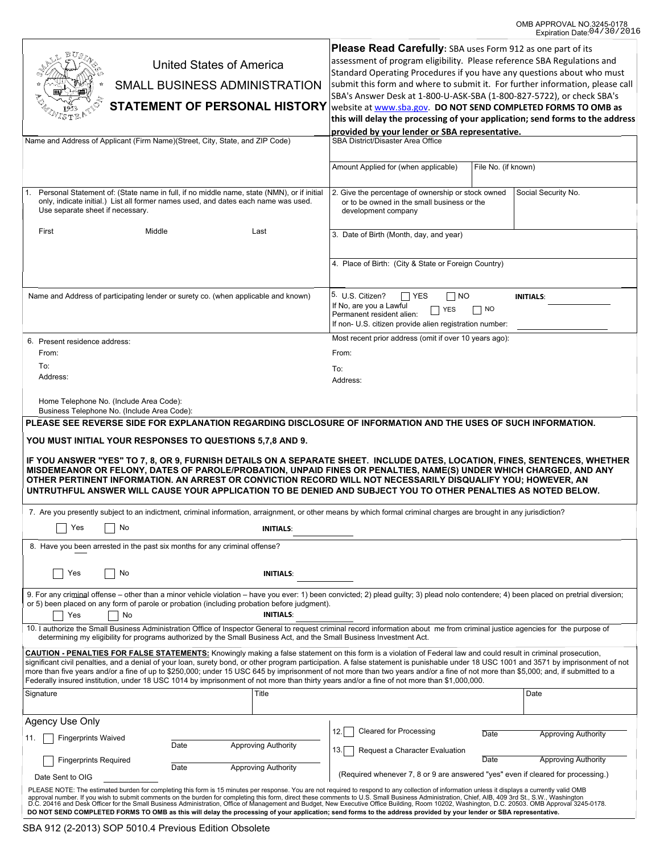| United States of America<br>SMALL BUSINESS ADMINISTRATION<br><b>STATEMENT OF PERSONAL HISTORY</b><br>Name and Address of Applicant (Firm Name)(Street, City, State, and ZIP Code)                                                                                                                                                                                                                                                                                                                                                                                                                                                                                                                                                                                                                                                                                                  | Please Read Carefully: SBA uses Form 912 as one part of its<br>assessment of program eligibility. Please reference SBA Regulations and<br>Standard Operating Procedures if you have any questions about who must<br>submit this form and where to submit it. For further information, please call<br>SBA's Answer Desk at 1-800-U-ASK-SBA (1-800-827-5722), or check SBA's<br>website at www.sba.gov. DO NOT SEND COMPLETED FORMS TO OMB as<br>this will delay the processing of your application; send forms to the address<br>provided by your lender or SBA representative.<br>SBA District/Disaster Area Office<br>File No. (if known)<br>Amount Applied for (when applicable) |
|------------------------------------------------------------------------------------------------------------------------------------------------------------------------------------------------------------------------------------------------------------------------------------------------------------------------------------------------------------------------------------------------------------------------------------------------------------------------------------------------------------------------------------------------------------------------------------------------------------------------------------------------------------------------------------------------------------------------------------------------------------------------------------------------------------------------------------------------------------------------------------|------------------------------------------------------------------------------------------------------------------------------------------------------------------------------------------------------------------------------------------------------------------------------------------------------------------------------------------------------------------------------------------------------------------------------------------------------------------------------------------------------------------------------------------------------------------------------------------------------------------------------------------------------------------------------------|
| Personal Statement of: (State name in full, if no middle name, state (NMN), or if initial<br>$\mathbf{1}$ .<br>only, indicate initial.) List all former names used, and dates each name was used.<br>Use separate sheet if necessary.                                                                                                                                                                                                                                                                                                                                                                                                                                                                                                                                                                                                                                              | 2. Give the percentage of ownership or stock owned<br>Social Security No.<br>or to be owned in the small business or the<br>development company                                                                                                                                                                                                                                                                                                                                                                                                                                                                                                                                    |
| Middle<br>First<br>Last                                                                                                                                                                                                                                                                                                                                                                                                                                                                                                                                                                                                                                                                                                                                                                                                                                                            | 3. Date of Birth (Month, day, and year)                                                                                                                                                                                                                                                                                                                                                                                                                                                                                                                                                                                                                                            |
|                                                                                                                                                                                                                                                                                                                                                                                                                                                                                                                                                                                                                                                                                                                                                                                                                                                                                    | 4. Place of Birth: (City & State or Foreign Country)                                                                                                                                                                                                                                                                                                                                                                                                                                                                                                                                                                                                                               |
| Name and Address of participating lender or surety co. (when applicable and known)                                                                                                                                                                                                                                                                                                                                                                                                                                                                                                                                                                                                                                                                                                                                                                                                 | 5. U.S. Citizen?<br>$\Box$ Yes<br>    NO<br><b>INITIALS:</b><br>If No, are you a Lawful<br>    NO<br><b>YES</b><br>Permanent resident alien:<br>If non- U.S. citizen provide alien registration number:                                                                                                                                                                                                                                                                                                                                                                                                                                                                            |
| 6. Present residence address:                                                                                                                                                                                                                                                                                                                                                                                                                                                                                                                                                                                                                                                                                                                                                                                                                                                      | Most recent prior address (omit if over 10 years ago):                                                                                                                                                                                                                                                                                                                                                                                                                                                                                                                                                                                                                             |
| From:                                                                                                                                                                                                                                                                                                                                                                                                                                                                                                                                                                                                                                                                                                                                                                                                                                                                              | From:                                                                                                                                                                                                                                                                                                                                                                                                                                                                                                                                                                                                                                                                              |
| To:                                                                                                                                                                                                                                                                                                                                                                                                                                                                                                                                                                                                                                                                                                                                                                                                                                                                                | To:                                                                                                                                                                                                                                                                                                                                                                                                                                                                                                                                                                                                                                                                                |
| Address:                                                                                                                                                                                                                                                                                                                                                                                                                                                                                                                                                                                                                                                                                                                                                                                                                                                                           | Address:                                                                                                                                                                                                                                                                                                                                                                                                                                                                                                                                                                                                                                                                           |
| Home Telephone No. (Include Area Code):<br>Business Telephone No. (Include Area Code):<br>PLEASE SEE REVERSE SIDE FOR EXPLANATION REGARDING DISCLOSURE OF INFORMATION AND THE USES OF SUCH INFORMATION.<br>YOU MUST INITIAL YOUR RESPONSES TO QUESTIONS 5,7,8 AND 9.                                                                                                                                                                                                                                                                                                                                                                                                                                                                                                                                                                                                               |                                                                                                                                                                                                                                                                                                                                                                                                                                                                                                                                                                                                                                                                                    |
| IF YOU ANSWER "YES" TO 7, 8, OR 9, FURNISH DETAILS ON A SEPARATE SHEET. INCLUDE DATES, LOCATION, FINES, SENTENCES, WHETHER<br>MISDEMEANOR OR FELONY, DATES OF PAROLE/PROBATION, UNPAID FINES OR PENALTIES, NAME(S) UNDER WHICH CHARGED, AND ANY<br>OTHER PERTINENT INFORMATION. AN ARREST OR CONVICTION RECORD WILL NOT NECESSARILY DISQUALIFY YOU; HOWEVER, AN<br>UNTRUTHFUL ANSWER WILL CAUSE YOUR APPLICATION TO BE DENIED AND SUBJECT YOU TO OTHER PENALTIES AS NOTED BELOW.                                                                                                                                                                                                                                                                                                                                                                                                   |                                                                                                                                                                                                                                                                                                                                                                                                                                                                                                                                                                                                                                                                                    |
| 7. Are you presently subject to an indictment, criminal information, arraignment, or other means by which formal criminal charges are brought in any jurisdiction?                                                                                                                                                                                                                                                                                                                                                                                                                                                                                                                                                                                                                                                                                                                 |                                                                                                                                                                                                                                                                                                                                                                                                                                                                                                                                                                                                                                                                                    |
| No<br>Yes<br><b>INITIALS:</b>                                                                                                                                                                                                                                                                                                                                                                                                                                                                                                                                                                                                                                                                                                                                                                                                                                                      |                                                                                                                                                                                                                                                                                                                                                                                                                                                                                                                                                                                                                                                                                    |
| 8. Have you been arrested in the past six months for any criminal offense?                                                                                                                                                                                                                                                                                                                                                                                                                                                                                                                                                                                                                                                                                                                                                                                                         |                                                                                                                                                                                                                                                                                                                                                                                                                                                                                                                                                                                                                                                                                    |
| Yes<br>No<br><b>INITIALS:</b>                                                                                                                                                                                                                                                                                                                                                                                                                                                                                                                                                                                                                                                                                                                                                                                                                                                      |                                                                                                                                                                                                                                                                                                                                                                                                                                                                                                                                                                                                                                                                                    |
| 9. For any criminal offense – other than a minor vehicle violation – have you ever: 1) been convicted; 2) plead guilty; 3) plead nolo contendere; 4) been placed on pretrial diversion;<br>or 5) been placed on any form of parole or probation (including probation before judgment).<br><b>INITIALS:</b><br>Yes<br>No                                                                                                                                                                                                                                                                                                                                                                                                                                                                                                                                                            |                                                                                                                                                                                                                                                                                                                                                                                                                                                                                                                                                                                                                                                                                    |
| 10. I authorize the Small Business Administration Office of Inspector General to request criminal record information about me from criminal justice agencies for the purpose of<br>determining my eligibility for programs authorized by the Small Business Act, and the Small Business Investment Act.                                                                                                                                                                                                                                                                                                                                                                                                                                                                                                                                                                            |                                                                                                                                                                                                                                                                                                                                                                                                                                                                                                                                                                                                                                                                                    |
| <b>CAUTION - PENALTIES FOR FALSE STATEMENTS:</b> Knowingly making a false statement on this form is a violation of Federal law and could result in criminal prosecution,<br>significant civil penalties, and a denial of your loan, surety bond, or other program participation. A false statement is punishable under 18 USC 1001 and 3571 by imprisonment of not<br>more than five years and/or a fine of up to \$250,000; under 15 USC 645 by imprisonment of not more than two years and/or a fine of not more than \$5,000; and, if submitted to a<br>Federally insured institution, under 18 USC 1014 by imprisonment of not more than thirty years and/or a fine of not more than \$1,000,000.                                                                                                                                                                              |                                                                                                                                                                                                                                                                                                                                                                                                                                                                                                                                                                                                                                                                                    |
| Title<br>Signature                                                                                                                                                                                                                                                                                                                                                                                                                                                                                                                                                                                                                                                                                                                                                                                                                                                                 | Date                                                                                                                                                                                                                                                                                                                                                                                                                                                                                                                                                                                                                                                                               |
| Agency Use Only                                                                                                                                                                                                                                                                                                                                                                                                                                                                                                                                                                                                                                                                                                                                                                                                                                                                    |                                                                                                                                                                                                                                                                                                                                                                                                                                                                                                                                                                                                                                                                                    |
| <b>Fingerprints Waived</b><br>11.                                                                                                                                                                                                                                                                                                                                                                                                                                                                                                                                                                                                                                                                                                                                                                                                                                                  | <b>Cleared for Processing</b><br>12.<br>Date<br><b>Approving Authority</b>                                                                                                                                                                                                                                                                                                                                                                                                                                                                                                                                                                                                         |
| Date<br><b>Approving Authority</b>                                                                                                                                                                                                                                                                                                                                                                                                                                                                                                                                                                                                                                                                                                                                                                                                                                                 | 13.<br>Request a Character Evaluation<br>Date                                                                                                                                                                                                                                                                                                                                                                                                                                                                                                                                                                                                                                      |
| <b>Fingerprints Required</b><br><b>Approving Authority</b><br>Date                                                                                                                                                                                                                                                                                                                                                                                                                                                                                                                                                                                                                                                                                                                                                                                                                 | <b>Approving Authority</b>                                                                                                                                                                                                                                                                                                                                                                                                                                                                                                                                                                                                                                                         |
| (Required whenever 7, 8 or 9 are answered "yes" even if cleared for processing.)<br>Date Sent to OIG<br>PLEASE NOTE: The estimated burden for completing this form is 15 minutes per response. You are not required to respond to any collection of information unless it displays a currently valid OMB<br>approval number. If you wish to submit comments on the burden for completing this form, direct these comments to U.S. Small Business Administration, Chief, AIB, 409 3rd St., S.W., Washington<br>D.C. 20416 and Desk Officer for the Small Business Administration, Office of Management and Budget, New Executive Office Building, Room 10202, Washington, D.C. 20503. OMB Approval 3245-0178.<br>DO NOT SEND COMPLETED FORMS TO OMB as this will delay the processing of your application; send forms to the address provided by your lender or SBA representative. |                                                                                                                                                                                                                                                                                                                                                                                                                                                                                                                                                                                                                                                                                    |